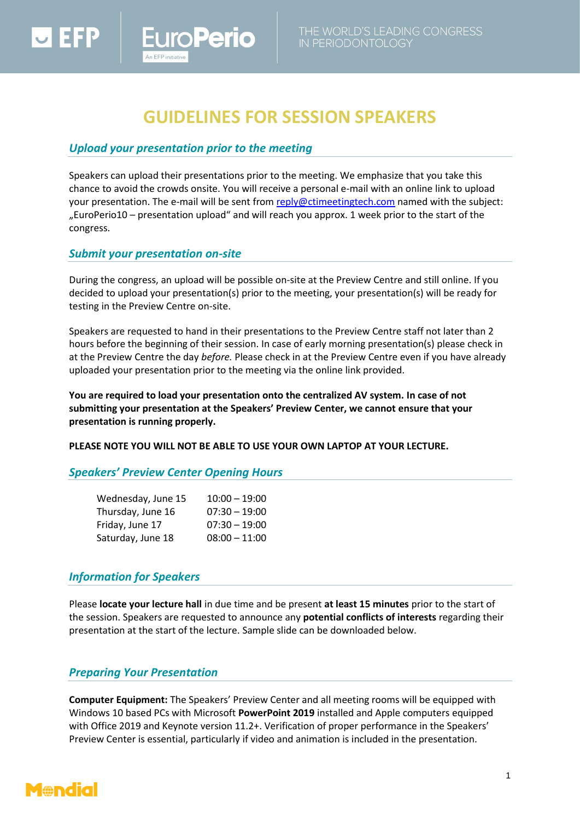# **GUIDELINES FOR SESSION SPEAKERS**

## *Upload your presentation prior to the meeting*

**oPerio** 

Speakers can upload their presentations prior to the meeting. We emphasize that you take this chance to avoid the crowds onsite. You will receive a personal e-mail with an online link to upload your presentation. The e-mail will be sent fro[m reply@ctimeetingtech.com](mailto:reply@ctimeetingtech.com) named with the subject: "EuroPerio10 – presentation upload" and will reach you approx. 1 week prior to the start of the congress.

### *Submit your presentation on-site*

During the congress, an upload will be possible on-site at the Preview Centre and still online. If you decided to upload your presentation(s) prior to the meeting, your presentation(s) will be ready for testing in the Preview Centre on-site.

Speakers are requested to hand in their presentations to the Preview Centre staff not later than 2 hours before the beginning of their session. In case of early morning presentation(s) please check in at the Preview Centre the day *before.* Please check in at the Preview Centre even if you have already uploaded your presentation prior to the meeting via the online link provided.

**You are required to load your presentation onto the centralized AV system. In case of not submitting your presentation at the Speakers' Preview Center, we cannot ensure that your presentation is running properly.**

**PLEASE NOTE YOU WILL NOT BE ABLE TO USE YOUR OWN LAPTOP AT YOUR LECTURE.**

### *Speakers' Preview Center Opening Hours*

| Wednesday, June 15 | $10:00 - 19:00$ |
|--------------------|-----------------|
| Thursday, June 16  | $07:30 - 19:00$ |
| Friday, June 17    | $07:30 - 19:00$ |
| Saturday, June 18  | $08:00 - 11:00$ |

### *Information for Speakers*

Please **locate your lecture hall** in due time and be present **at least 15 minutes** prior to the start of the session. Speakers are requested to announce any **potential conflicts of interests** regarding their presentation at the start of the lecture. Sample slide can be downloaded below.

### *Preparing Your Presentation*

**Computer Equipment:** The Speakers' Preview Center and all meeting rooms will be equipped with Windows 10 based PCs with Microsoft **PowerPoint 2019** installed and Apple computers equipped with Office 2019 and Keynote version 11.2+. Verification of proper performance in the Speakers' Preview Center is essential, particularly if video and animation is included in the presentation.